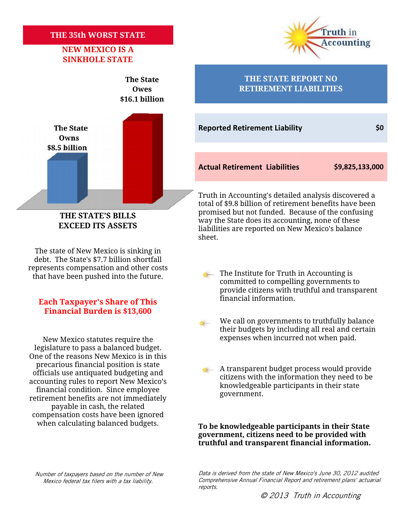## **THE 35th WORST STATE NEW MEXICO IS A 35th WORST NEW**

# **SINKHOLE STATE**



**EXCEED ITS ASSETS**

The state of New Mexico is sinking in debt. The State's \$7.7 billion shortfall represents compensation and other costs

### financial information. **Each Taxpayer's Share of This Share of is Financial Burden is \$13,600**

legislature to pass a balanced budget. One of the reasons New Mexico is in this precarious financial position is state officials use antiquated budgeting and accounting rules to report New Mexico's financial condition. Since employee retirement benefits are not immediately payable in cash, the related compensation costs have been ignored when calculating balanced budgets. New Mexico statutes require the expenses when incurred not when paid.<br>
legislature to pass a balanced budget.<br>
One of the reasons New Mexico is in this<br>
precarious financial position is state<br>
officials use antiquated budg **Example 11 and 12 and 12 and 12 and 12 and 12 and 12 and 12 and 12 and 12 and 12 and 12 and 12 and 12 and 12 and 12 and 12 and 12 and 12 and 12 and 12 and 12 and 12 and 12 and 12 and 12 and 12 and 12 and 12 and 12 and 12** 



#### **The State THE STATE REPORT NO Owes RETIREMENT LIABILITIES**

**The State Reported Retirement Liability 1996** 

**Actual Retirement Liabilities \$9,825,133,000 Liabilities**

Truth in Accounting's detailed analysis discovered a total of \$9.8 billion of retirement benefits have been promised but not funded. Because of the confusing way the State does its accounting, none of these liabilities are reported on New Mexico's balance sheet. total of \$9.8 billion of retirement benefits have been<br>
TE'S BILLS<br>
ITS ASSETS<br>
TIS ASSETS<br>
TIS ASSETS<br>
Institute for Secure on New Mexico's balance<br>
sheet.<br>
Mexico is sinking in<br>
\$7.7 billion shortfall<br>
sation and other c

- that have been pushed into the future. The Institute for Truth in Accounting is committed to compelling governments to provide citizens with truthful and transparent<br>financial information.
	- We call on governments to truthfully balance We call on governments to truthfully balance<br>their budgets by including all real and certain New Mexico statutes require the expenses when incurred not when paid.
		- A transparent budget process would provide citizens with the information they need to be knowledgeable participants in their state government. government.

**To be knowledgeable participants in their State government, citizens need to be provided with truthful and transparent financial information.**

*Number of taxpayers based on the number of New Mexico federal tax filers with a tax liability.*

*Data is derived from the state of New Mexico's June 30, 2012 audited Comprehensive Annual Financial Report and retirement plans' actuarial reports.*

*© 2013 Truth in Accounting*